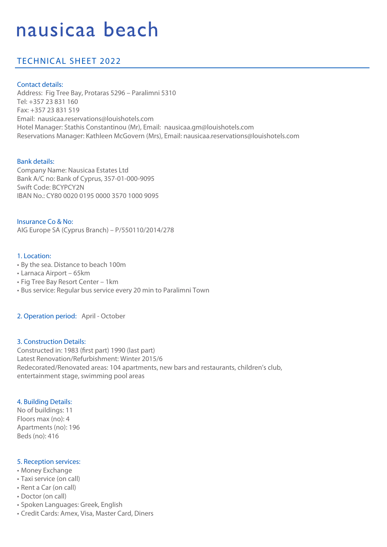# nausicaa beach

# TECHNICAL SHEET 2022

#### Contact details:

Address: Fig Tree Bay, Protaras 5296 – Paralimni 5310 Tel: +357 23 831 160 Fax: +357 23 831 519 Email: nausicaa.reservations@louishotels.com Hotel Manager: Stathis Constantinou (Mr), Email: nausicaa.gm@louishotels.com Reservations Manager: Kathleen McGovern (Mrs), Email: nausicaa.reservations@louishotels.com

## Bank details:

Company Name: Nausicaa Estates Ltd Bank A/C no: Bank of Cyprus, 357-01-000-9095 Swift Code: BCYPCY2N IBAN No.: CY80 0020 0195 0000 3570 1000 9095

Insurance Co & No: AIG Europe SA (Cyprus Branch) – P/550110/2014/278

#### 1. Location:

- By the sea. Distance to beach 100m
- Larnaca Airport 65km
- Fig Tree Bay Resort Center 1km
- Bus service: Regular bus service every 20 min to Paralimni Town

#### 2. Operation period: April - October

#### 3. Construction Details:

Constructed in: 1983 (first part) 1990 (last part) Latest Renovation/Refurbishment: Winter 2015/6 Redecorated/Renovated areas: 104 apartments, new bars and restaurants, children's club, entertainment stage, swimming pool areas

#### 4. Building Details:

No of buildings: 11 Floors max (no): 4 Apartments (no): 196 Beds (no): 416

#### 5. Reception services:

- Money Exchange
- Taxi service (on call)
- Rent a Car (on call)
- Doctor (on call)
- Spoken Languages: Greek, English
- Credit Cards: Amex, Visa, Master Card, Diners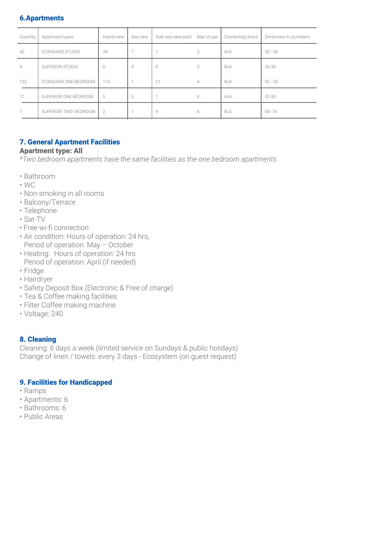#### 6.Apartments

| Quantity       | Apartment types       | Inland view | Sea view | Side sea view/pool | Max of pax     | Connecting doors | Dimension in sq meters |
|----------------|-----------------------|-------------|----------|--------------------|----------------|------------------|------------------------|
| 42             | STANDARD STUDIO       | 34          |          |                    | 3              | N/A              | $30 - 36$              |
| $\overline{4}$ | SUPERIOR STUDIO       | $\cup$      | 4        | 0                  | 3              | N/A              | 30-36                  |
| 132            | STANDARD ONE-BEDROOM  | 110         | <b>H</b> | 21                 | $\overline{4}$ | N/A              | $42 - 50$              |
| 11             | SUPERIOR ONE-BEDROOM  | 5           | 5        |                    | 4              | N/A              | 42-50                  |
| 7              | SUPERIOR TWO- BEDROOM | 2           |          | 4                  | 6              | N/A              | 68-74                  |
|                |                       |             |          |                    |                |                  |                        |

#### 7. General Apartment Facilities

#### Apartment type: All

*\*Two bedroom apartments have the same facilities as the one bedroom apartments*

- Bathroom
- $\cdot$  WC
- Non-smoking in all rooms
- Balcony/Terrace
- Telephone
- Sat-TV
- Free wi-fi connection
- Air condition: Hours of operation: 24 hrs, Period of operation: May – October
- Heating: Hours of operation: 24 hrs Period of operation: April (if needed)
- Fridge
- Hairdryer
- Safety Deposit Box (Electronic & Free of charge)
- Tea & Coffee making facilities
- Filter Coffee making machine
- Voltage: 240

#### 8. Cleaning

Cleaning: 6 days a week (limited service on Sundays & public holidays) Change of linen / towels: every 3 days - Ecosystem (on guest request)

#### 9. Facilities for Handicapped

- Ramps
- Apartments: 6
- Bathrooms: 6
- Public Areas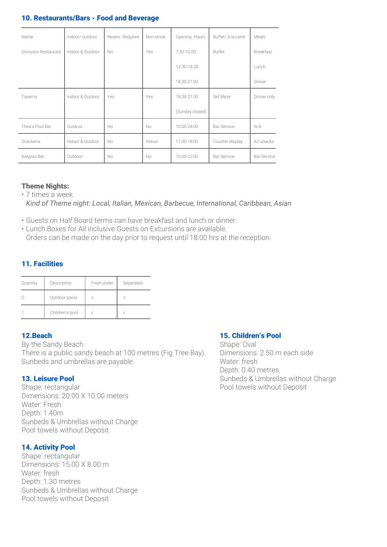#### 10. Restaurants/Bars - Food and Beverage

| Name                | Indoor/outdoor   | Reserv. Required | Non smok. | Opening Hours   | Buffet/ A la carte | Meals              |
|---------------------|------------------|------------------|-----------|-----------------|--------------------|--------------------|
| Dionysos Restaurant | Indoor & Outdoor | No               | Yes       | 7.30-10.00      | Buffet             | <b>Breakfast</b>   |
|                     |                  |                  |           | 12.30-14.30     |                    | Lunch              |
|                     |                  |                  |           | 18:30-21:00     |                    | Dinner             |
| Taverna             | Indoor & Outdoor | Yes              | Yes       | 18:30-21:00     | Set Meze           | Dinner only        |
|                     |                  |                  |           | (Sunday closed) |                    |                    |
| Thea's Pool Bar     | Outdoor          | No               | <b>No</b> | 10:00-24:00     | <b>Bar Service</b> | N/A                |
| Snackeria           | Indoor & Outdoor | No               | Indoor    | 11:00-18:00     | Counter display    | A/I snacks         |
| Kalypso Bar         | Outdoor          | No               | <b>No</b> | 10:00-22:00     | <b>Bar Service</b> | <b>Bar Service</b> |

#### Theme Nights:

• 7 times a week  *Kind of Theme night: Local, Italian, Mexican, Barbecue, International, Caribbean, Asian* 

- Guests on Half Board terms can have breakfast and lunch or dinner.
- Lunch Boxes for All inclusive Guests on Excursions are available. Orders can be made on the day prior to request until 18.00 hrs at the reception.

#### 11. Facilities

| Quantity | Description     | Fresh water | Separated |
|----------|-----------------|-------------|-----------|
|          | Outdoor pools   |             |           |
|          | Children's pool |             |           |

#### 12.Beach

By the Sandy Beach There is a public sandy beach at 100 metres (Fig Tree Bay). Sunbeds and umbrellas are payable

#### 13. Leisure Pool

Shape: rectangular Dimensions: 20.00 X 10.00 meters Water: Fresh Depth: 1.40m Sunbeds & Umbrellas without Charge Pool towels without Deposit

#### 14. Activity Pool

Shape: rectangular Dimensions: 15.00 X 8.00 m Water: fresh Depth: 1.30 metres Sunbeds & Umbrellas without Charge Pool towels without Deposit

#### 15. Children's Pool

Shape: Oval Dimensions: 2.50 m each side Water: fresh Depth: 0.40 metres Sunbeds & Umbrellas without Charge Pool towels without Deposit